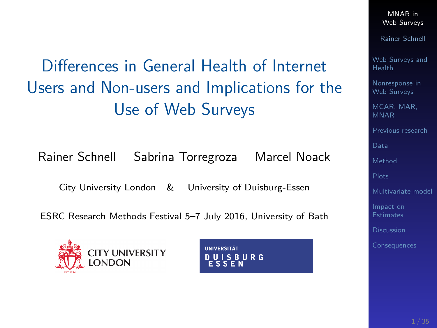<span id="page-0-0"></span>Differences in General Health of Internet Users and Non-users and Implications for the Use of Web Surveys

Rainer Schnell Sabrina Torregroza Marcel Noack

City University London & University of Duisburg-Essen

ESRC Research Methods Festival 5–7 July 2016, University of Bath





MNAR in [Web Surveys](#page-34-0)

Rainer Schnell

[Web Surveys and](#page-2-0) Health

[Nonresponse in](#page-4-0) Web Surveys

MCAR, MAR MNAR

[Previous research](#page-10-0)

[Data](#page-11-0)

[Method](#page-14-0)

[Multivariate model](#page-24-0)

[Impact on](#page-28-0)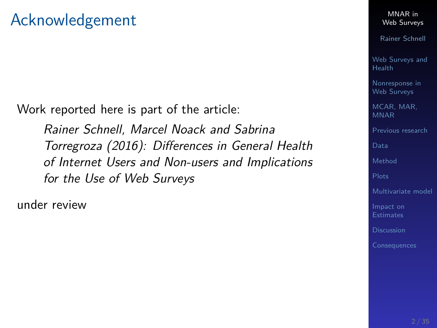Work reported here is part of the article:

Rainer Schnell, Marcel Noack and Sabrina Torregroza (2016): Differences in General Health of Internet Users and Non-users and Implications for the Use of Web Surveys

under review

MNAR in [Web Surveys](#page-0-0)

Rainer Schnell

[Web Surveys and](#page-2-0) Health

[Nonresponse in](#page-4-0) Web Surveys

[MCAR, MAR,](#page-8-0) MNAR

[Previous research](#page-10-0)

[Data](#page-11-0)

[Method](#page-14-0)

[Multivariate model](#page-24-0)

[Impact on](#page-28-0) Estimates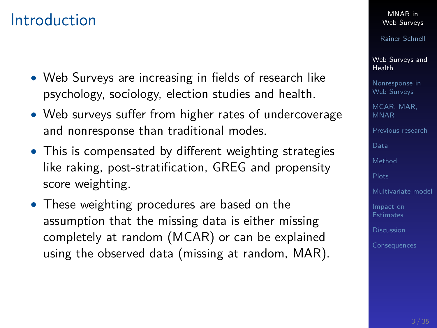### <span id="page-2-0"></span>Introduction

- Web Surveys are increasing in fields of research like psychology, sociology, election studies and health.
- Web surveys suffer from higher rates of undercoverage and nonresponse than traditional modes.
- This is compensated by different weighting strategies like raking, post-stratification, GREG and propensity score weighting.
- These weighting procedures are based on the assumption that the missing data is either missing completely at random (MCAR) or can be explained using the observed data (missing at random, MAR).

#### MNAR in [Web Surveys](#page-0-0)

Rainer Schnell

[Web Surveys and](#page-2-0) Health

[Nonresponse in](#page-4-0) Web Surveys

[MCAR, MAR,](#page-8-0) MNAR

[Previous research](#page-10-0)

[Data](#page-11-0)

[Method](#page-14-0)

[Multivariate model](#page-24-0)

[Impact on](#page-28-0)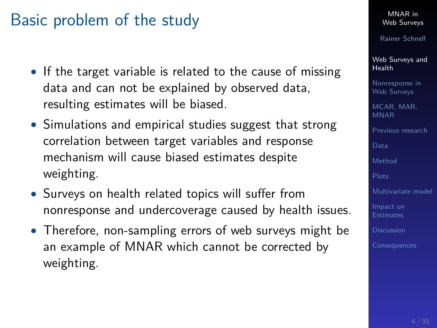# Basic problem of the study

- If the target variable is related to the cause of missing data and can not be explained by observed data, resulting estimates will be biased.
- Simulations and empirical studies suggest that strong correlation between target variables and response mechanism will cause biased estimates despite weighting.
- Surveys on health related topics will suffer from nonresponse and undercoverage caused by health issues.
- Therefore, non-sampling errors of web surveys might be an example of MNAR which cannot be corrected by weighting.

MNAR in [Web Surveys](#page-0-0)

Rainer Schnell

[Web Surveys and](#page-2-0) Health

[Nonresponse in](#page-4-0) Web Surveys

[MCAR, MAR,](#page-8-0) MNAR

[Previous research](#page-10-0)

[Method](#page-14-0)

[Multivariate model](#page-24-0)

[Impact on](#page-28-0)

[Discussion](#page-33-0)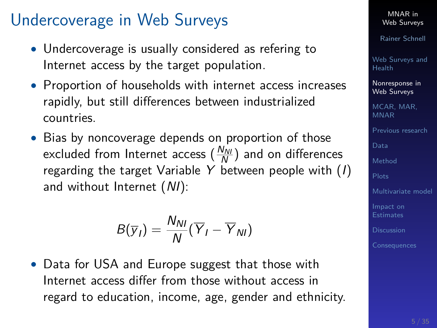# <span id="page-4-0"></span>Undercoverage in Web Surveys

- Undercoverage is usually considered as refering to Internet access by the target population.
- Proportion of households with internet access increases rapidly, but still differences between industrialized countries.
- Bias by noncoverage depends on proportion of those excluded from Internet access  $\left(\frac{N_{NU}}{N}\right)$  and on differences regarding the target Variable Y between people with  $(I)$ and without Internet (NI):

$$
B(\overline{y}_I)=\frac{N_{NI}}{N}(\overline{Y}_I-\overline{Y}_{NI})
$$

• Data for USA and Europe suggest that those with Internet access differ from those without access in regard to education, income, age, gender and ethnicity.

MNAR in [Web Surveys](#page-0-0)

Rainer Schnell

[Web Surveys and](#page-2-0) Health

[Nonresponse in](#page-4-0) Web Surveys

[MCAR, MAR,](#page-8-0) MNAR

[Previous research](#page-10-0)

[Data](#page-11-0)

[Method](#page-14-0)

[Multivariate model](#page-24-0)

[Impact on](#page-28-0) **Estimates** 

**[Discussion](#page-33-0)**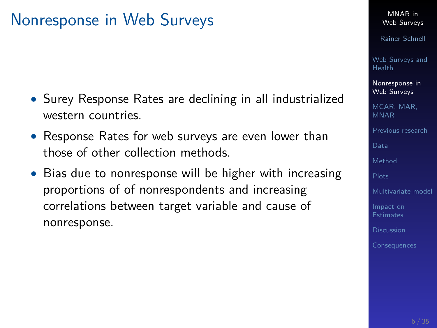# Nonresponse in Web Surveys

- Surey Response Rates are declining in all industrialized western countries.
- Response Rates for web surveys are even lower than those of other collection methods.
- Bias due to nonresponse will be higher with increasing proportions of of nonrespondents and increasing correlations between target variable and cause of nonresponse.

MNAR in [Web Surveys](#page-0-0)

Rainer Schnell

[Web Surveys and](#page-2-0) Health

[Nonresponse in](#page-4-0) Web Surveys

[MCAR, MAR,](#page-8-0) MNAR

[Previous research](#page-10-0)

[Data](#page-11-0)

[Method](#page-14-0)

[Multivariate model](#page-24-0)

[Impact on](#page-28-0)

[Discussion](#page-33-0)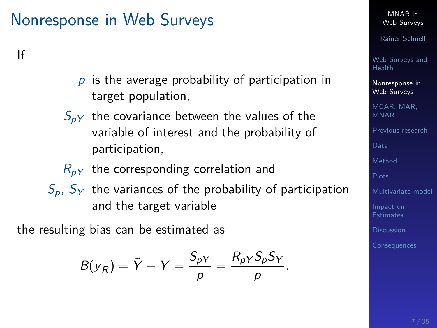# Nonresponse in Web Surveys

#### If

- $\overline{p}$  is the average probability of participation in target population,
- $S_{nV}$  the covariance between the values of the variable of interest and the probability of participation,
- $R_{pY}$  the corresponding correlation and
- $S_p$ ,  $S_Y$  the variances of the probability of participation and the target variable

the resulting bias can be estimated as

$$
B(\overline{y}_R)=\tilde{Y}-\overline{Y}=\frac{S_{pY}}{\overline{p}}=\frac{R_{pY}S_pS_Y}{\overline{p}}.
$$

MNAR in [Web Surveys](#page-0-0)

Rainer Schnell

[Web Surveys and](#page-2-0) Health

[Nonresponse in](#page-4-0) Web Surveys

[MCAR, MAR,](#page-8-0) MNAR

[Previous research](#page-10-0)

[Data](#page-11-0)

[Method](#page-14-0)

[Multivariate model](#page-24-0)

[Impact on](#page-28-0) **Estimates**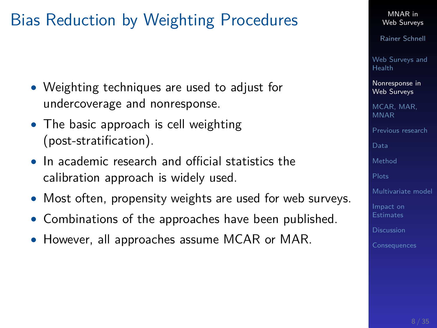# Bias Reduction by Weighting Procedures

- Weighting techniques are used to adjust for undercoverage and nonresponse.
- The basic approach is cell weighting (post-stratification).
- In academic research and official statistics the calibration approach is widely used.
- Most often, propensity weights are used for web surveys.
- Combinations of the approaches have been published.
- However, all approaches assume MCAR or MAR.

Rainer Schnell

[Web Surveys and](#page-2-0) Health

[Nonresponse in](#page-4-0) Web Surveys

[MCAR, MAR,](#page-8-0) MNAR

[Previous research](#page-10-0)

[Data](#page-11-0)

[Method](#page-14-0)

[Multivariate model](#page-24-0)

[Impact on](#page-28-0)

**[Discussion](#page-33-0)**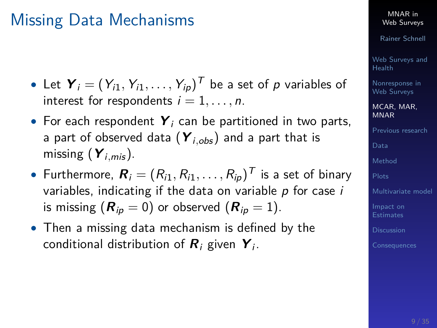# <span id="page-8-0"></span>Missing Data Mechanisms

- $\bullet$  Let  $\boldsymbol{Y}_i=(Y_{i1},Y_{i1},\ldots,Y_{ip})^T$  be a set of  $p$  variables of interest for respondents  $i = 1, \ldots, n$ .
- For each respondent **Y**<sub>i</sub> can be partitioned in two parts, a part of observed data  $(Y_{i,obs})$  and a part that is missing (**Y**i*,*mis ).
- $\bullet\,$  Furthermore,  $\boldsymbol{R}_i=(R_{i1},R_{i1},\ldots,R_{ip})^\mathcal{T}$  is a set of binary variables, indicating if the data on variable  $p$  for case  $i$ is missing  $(R_{ip} = 0)$  or observed  $(R_{ip} = 1)$ .
- Then a missing data mechanism is defined by the conditional distribution of  $R_i$  given  $\boldsymbol{Y}_i$ .

MNAR in [Web Surveys](#page-0-0)

Rainer Schnell

[Web Surveys and](#page-2-0) Health

[Nonresponse in](#page-4-0) Web Surveys

[MCAR, MAR,](#page-8-0) MNAR

[Previous research](#page-10-0)

[Data](#page-11-0)

[Method](#page-14-0)

[Multivariate model](#page-24-0)

[Impact on](#page-28-0) **Estimates**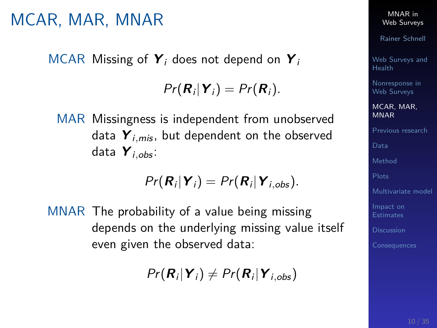# MCAR, MAR, MNAR

MCAR Missing of **Y**<sup>i</sup> does not depend on **Y**<sup>i</sup>

 $Pr(\mathbf{R}_i | \mathbf{Y}_i) = Pr(\mathbf{R}_i).$ 

MAR Missingness is independent from unobserved data  $Y_{i,mis}$ , but dependent on the observed data **Y**i*,*obs :

$$
Pr(\boldsymbol{R}_i|\boldsymbol{Y}_i)=Pr(\boldsymbol{R}_i|\boldsymbol{Y}_{i,obs}).
$$

MNAR The probability of a value being missing depends on the underlying missing value itself even given the observed data:

 $Pr(R_i | Y_i) \neq Pr(R_i | Y_{i,obs})$ 

MNAR in [Web Surveys](#page-0-0)

Rainer Schnell

[Web Surveys and](#page-2-0) Health

[Nonresponse in](#page-4-0) Web Surveys

[MCAR, MAR,](#page-8-0) MNAR

[Previous research](#page-10-0)

[Data](#page-11-0)

[Method](#page-14-0)

[Multivariate model](#page-24-0)

[Impact on](#page-28-0)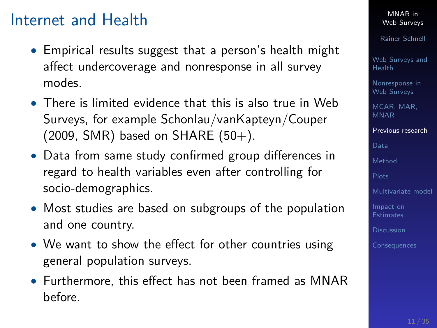### <span id="page-10-0"></span>Internet and Health

- Empirical results suggest that a person's health might affect undercoverage and nonresponse in all survey modes.
- There is limited evidence that this is also true in Web Surveys, for example Schonlau/vanKapteyn/Couper  $(2009, SMR)$  based on SHARE  $(50+)$ .
- Data from same study confirmed group differences in regard to health variables even after controlling for socio-demographics.
- Most studies are based on subgroups of the population and one country.
- We want to show the effect for other countries using general population surveys.
- Furthermore, this effect has not been framed as MNAR before.

MNAR in [Web Surveys](#page-0-0)

Rainer Schnell

[Web Surveys and](#page-2-0) Health

[Nonresponse in](#page-4-0) Web Surveys

[MCAR, MAR,](#page-8-0) MNAR

[Previous research](#page-10-0)

[Data](#page-11-0)

[Method](#page-14-0)

[Multivariate model](#page-24-0)

[Impact on](#page-28-0)

[Discussion](#page-33-0)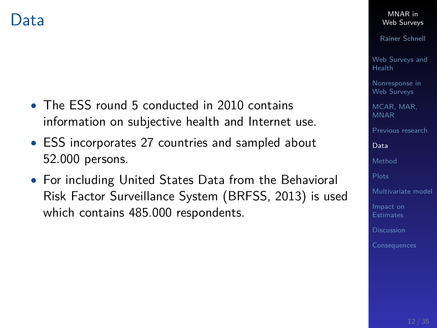- <span id="page-11-0"></span>• The ESS round 5 conducted in 2010 contains information on subjective health and Internet use.
- ESS incorporates 27 countries and sampled about 52.000 persons.
- For including United States Data from the Behavioral Risk Factor Surveillance System (BRFSS, 2013) is used which contains 485.000 respondents.

MNAR in [Web Surveys](#page-0-0)

Rainer Schnell

[Web Surveys and](#page-2-0) Health

[Nonresponse in](#page-4-0) Web Surveys

[MCAR, MAR,](#page-8-0) MNAR

[Previous research](#page-10-0)

[Data](#page-11-0)

[Method](#page-14-0)

[Multivariate model](#page-24-0)

[Impact on](#page-28-0)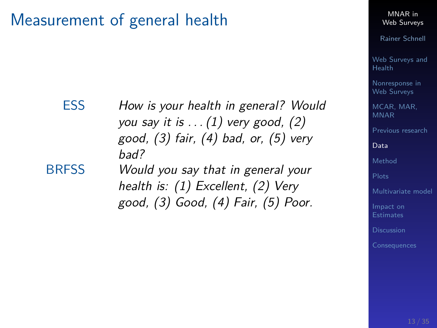### Measurement of general health

bad?

#### MNAR in [Web Surveys](#page-0-0)

Rainer Schnell

[Web Surveys and](#page-2-0) Health

[Nonresponse in](#page-4-0) Web Surveys

[MCAR, MAR,](#page-8-0) MNAR

[Previous research](#page-10-0)

[Data](#page-11-0)

[Method](#page-14-0)

[Multivariate model](#page-24-0)

[Impact on](#page-28-0) **Estimates** 

**[Consequences](#page-34-0)** 

BRFSS Would you say that in general your health is: (1) Excellent, (2) Very good, (3) Good, (4) Fair, (5) Poor.

you say it is  $\dots(1)$  very good, (2) good, (3) fair, (4) bad, or, (5) very

ESS How is your health in general? Would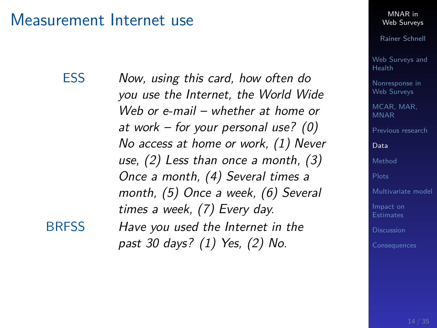#### Measurement Internet use

ESS Now, using this card, how often do you use the Internet, the World Wide Web or e-mail – whether at home or at work – for your personal use? (0) No access at home or work, (1) Never use, (2) Less than once a month, (3) Once a month, (4) Several times a month, (5) Once a week, (6) Several times a week, (7) Every day. BRFSS Have you used the Internet in the

past 30 days? (1) Yes, (2) No.

MNAR in [Web Surveys](#page-0-0)

Rainer Schnell

[Web Surveys and](#page-2-0) Health

[Nonresponse in](#page-4-0) Web Surveys

[MCAR, MAR,](#page-8-0) MNAR

[Previous research](#page-10-0)

[Data](#page-11-0)

[Method](#page-14-0)

[Multivariate model](#page-24-0)

[Impact on](#page-28-0)

**[Discussion](#page-33-0)**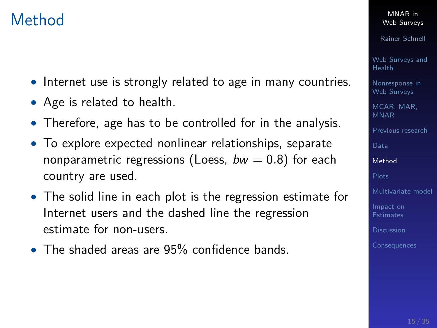# <span id="page-14-0"></span>Method

- Internet use is strongly related to age in many countries.
- Age is related to health.
- Therefore, age has to be controlled for in the analysis.
- To explore expected nonlinear relationships, separate nonparametric regressions (Loess,  $bw = 0.8$ ) for each country are used.
- The solid line in each plot is the regression estimate for Internet users and the dashed line the regression estimate for non-users.
- The shaded areas are 95% confidence bands.

MNAR in [Web Surveys](#page-0-0)

Rainer Schnell

[Web Surveys and](#page-2-0) Health

[Nonresponse in](#page-4-0) Web Surveys

[MCAR, MAR,](#page-8-0) MNAR

[Previous research](#page-10-0)

[Method](#page-14-0)

[Multivariate model](#page-24-0)

[Impact on](#page-28-0)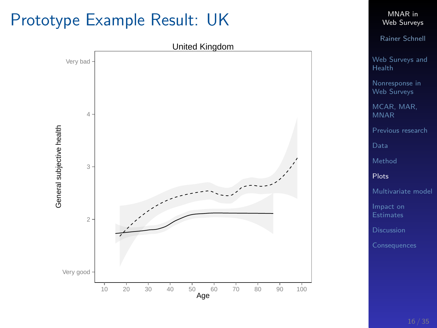# <span id="page-15-0"></span>Prototype Example Result: UK



MNAR in [Web Surveys](#page-0-0)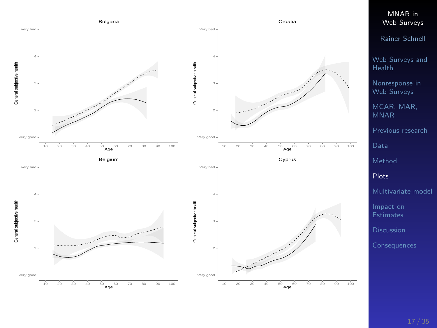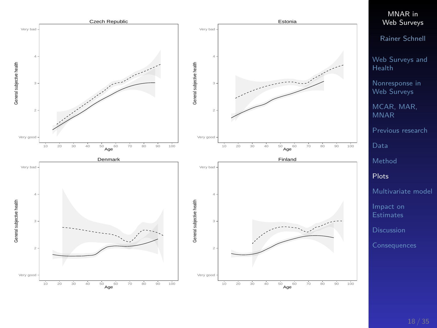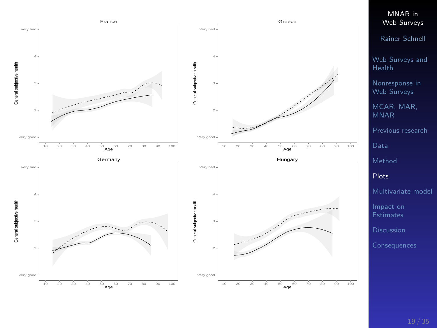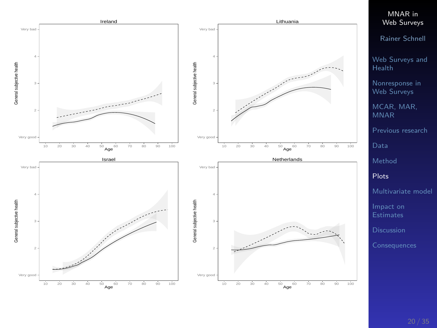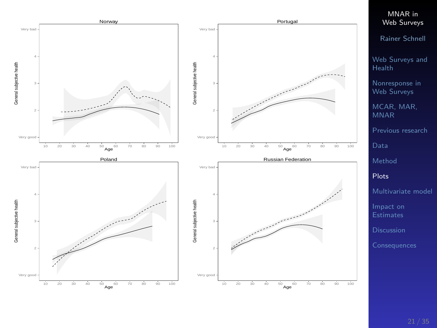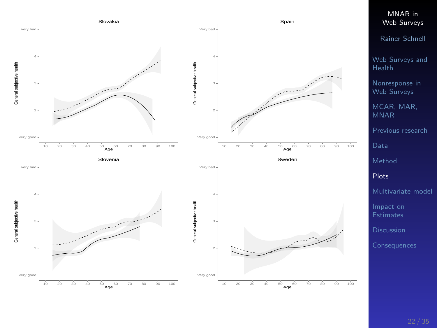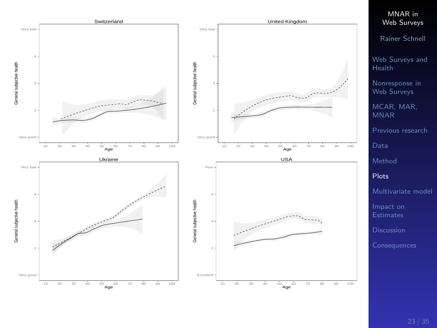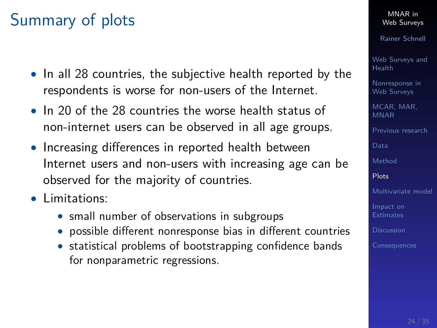# Summary of plots

- In all 28 countries, the subjective health reported by the respondents is worse for non-users of the Internet.
- In 20 of the 28 countries the worse health status of non-internet users can be observed in all age groups.
- Increasing differences in reported health between Internet users and non-users with increasing age can be observed for the majority of countries.
- Limitations:
	- small number of observations in subgroups
	- possible different nonresponse bias in different countries
	- statistical problems of bootstrapping confidence bands for nonparametric regressions.

MNAR in [Web Surveys](#page-0-0)

Rainer Schnell

[Web Surveys and](#page-2-0) Health

[Nonresponse in](#page-4-0) Web Surveys

[MCAR, MAR,](#page-8-0) MNAR

[Previous research](#page-10-0)

[Data](#page-11-0)

[Method](#page-14-0)

[Plots](#page-15-0)

[Multivariate model](#page-24-0)

[Impact on](#page-28-0)

[Discussion](#page-33-0)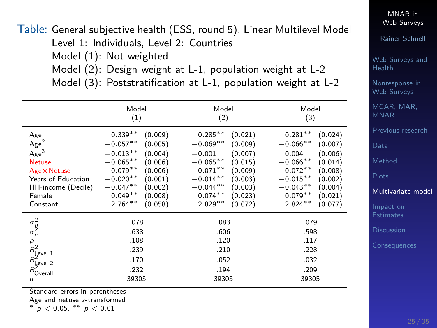<span id="page-24-0"></span>Table: General subjective health (ESS, round 5), Linear Multilevel Model Level 1: Individuals, Level 2: Countries Model (1): Not weighted Model (2): Design weight at L-1, population weight at L-2 Model (3): Poststratification at L-1, population weight at L-2

|                                                                                                                                                       | Model<br>(1)                                                                                                                                                                                                               | Model<br>(2)                                                                                                                                                                                                               | Model<br>(3)                                                                                                                                                                                                          |
|-------------------------------------------------------------------------------------------------------------------------------------------------------|----------------------------------------------------------------------------------------------------------------------------------------------------------------------------------------------------------------------------|----------------------------------------------------------------------------------------------------------------------------------------------------------------------------------------------------------------------------|-----------------------------------------------------------------------------------------------------------------------------------------------------------------------------------------------------------------------|
| Age<br>Age <sup>2</sup><br>Age <sup>3</sup><br><b>Netuse</b><br>$Age \times Netuse$<br>Years of Education<br>HH-income (Decile)<br>Female<br>Constant | $0.339**$<br>(0.009)<br>$-0.057**$<br>(0.005)<br>$-0.013**$<br>(0.004)<br>$-0.065**$<br>(0.006)<br>$-0.079**$<br>(0.006)<br>$-0.020**$<br>(0.001)<br>$-0.047**$<br>(0.002)<br>$0.049**$<br>(0.008)<br>$2.764**$<br>(0.058) | $0.285***$<br>(0.021)<br>$-0.069**$<br>(0.009)<br>$-0.001$<br>(0.007)<br>$-0.065**$<br>(0.015)<br>$-0.071**$<br>(0.009)<br>$-0.014**$<br>(0.003)<br>$-0.044**$<br>(0.003)<br>$0.074***$<br>(0.023)<br>$2.829**$<br>(0.072) | $0.281**$<br>(0.024)<br>$-0.066**$<br>(0.007)<br>0.004<br>(0.006)<br>$-0.066**$<br>(0.014)<br>$-0.072**$<br>(0.008)<br>$-0.015**$<br>(0.002)<br>$-0.043**$<br>(0.004)<br>$0.079**$<br>(0.021)<br>$2.824**$<br>(0.077) |
| $\sigma_{e}^{2}$<br>$\rho$<br>$R_{\text{level 1}}^2$<br>$R_{\text{Level 2}}^2$<br>$R_{\text{Overall}}^2$<br>n                                         | .078<br>.638<br>.108<br>.239<br>.170<br>.232<br>39305                                                                                                                                                                      | .083<br>.606<br>.120<br>.210<br>.052<br>.194<br>39305                                                                                                                                                                      | .079<br>.598<br>.117<br>.228<br>.032<br>.209<br>39305                                                                                                                                                                 |

Standard errors in parentheses

Age and netuse z-transformed

<sup>∗</sup> p *<* 0*.*05, ∗∗ p *<* 0*.*01

MNAR in [Web Surveys](#page-0-0)

Rainer Schnell

[Web Surveys and](#page-2-0) Health

[Nonresponse in](#page-4-0) Web Surveys

[MCAR, MAR,](#page-8-0) MNAR

[Previous research](#page-10-0)

[Data](#page-11-0)

[Method](#page-14-0)

[Multivariate model](#page-24-0)

[Impact on](#page-28-0)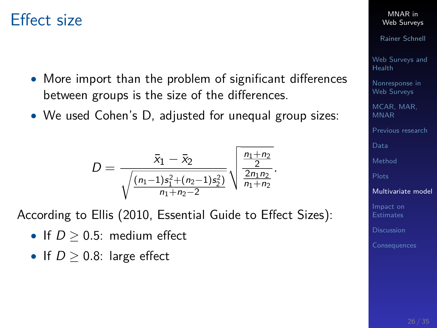### Effect size

- More import than the problem of significant differences between groups is the size of the differences.
- We used Cohen's D, adjusted for unequal group sizes:

$$
D=\frac{\bar{x}_1-\bar{x}_2}{\sqrt{\frac{(n_1-1)s_1^2+(n_2-1)s_2^2}{n_1+n_2-2}}}\sqrt{\frac{\frac{n_1+n_2}{2}}{\frac{2n_1n_2}{n_1+n_2}}}.
$$

According to Ellis (2010, Essential Guide to Effect Sizes):

- If  $D > 0.5$ : medium effect
- If  $D > 0.8$ : large effect

MNAR in [Web Surveys](#page-0-0)

Rainer Schnell

[Web Surveys and](#page-2-0) Health

[Nonresponse in](#page-4-0) Web Surveys

[MCAR, MAR,](#page-8-0) MNAR

[Previous research](#page-10-0)

[Data](#page-11-0)

[Method](#page-14-0)

[Multivariate model](#page-24-0)

[Impact on](#page-28-0) **Estimates**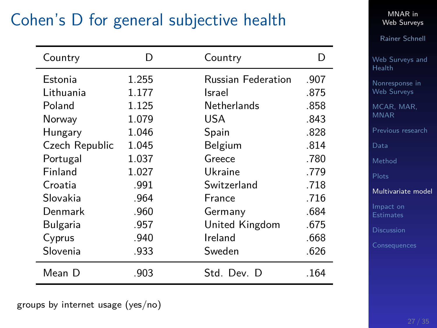# Cohen's D for general subjective health

| Country        | D     | Country                   | D    |
|----------------|-------|---------------------------|------|
| Estonia        | 1.255 | <b>Russian Federation</b> | .907 |
| Lithuania      | 1.177 | Israel                    | .875 |
| Poland         | 1.125 | <b>Netherlands</b>        | .858 |
| Norway         | 1.079 | USA                       | .843 |
| Hungary        | 1.046 | Spain                     | .828 |
| Czech Republic | 1.045 | Belgium                   | .814 |
| Portugal       | 1.037 | Greece                    | .780 |
| Finland        | 1.027 | Ukraine                   | .779 |
| Croatia        | .991  | Switzerland               | .718 |
| Slovakia       | .964  | France                    | .716 |
| Denmark        | .960  | Germany                   | .684 |
| Bulgaria       | .957  | United Kingdom            | .675 |
| Cyprus         | .940  | Ireland                   | .668 |
| Slovenia       | .933  | Sweden                    | .626 |
| Mean D         | .903  | Std. Dev. D               | .164 |

MNAR in [Web Surveys](#page-0-0)

Rainer Schnell

[Web Surveys and](#page-2-0) Health

[Nonresponse in](#page-4-0) Web Surveys

[MCAR, MAR,](#page-8-0) MNAR

[Previous research](#page-10-0)

[Data](#page-11-0)

[Method](#page-14-0)

[Plots](#page-15-0)

[Multivariate model](#page-24-0)

[Impact on](#page-28-0)

groups by internet usage (yes/no)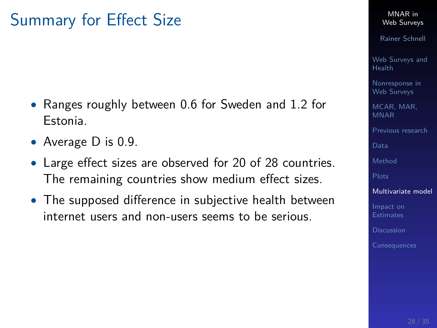# Summary for Effect Size

- Ranges roughly between 0.6 for Sweden and 1.2 for Estonia.
- Average D is 0.9.
- Large effect sizes are observed for 20 of 28 countries. The remaining countries show medium effect sizes.
- The supposed difference in subjective health between internet users and non-users seems to be serious.

MNAR in [Web Surveys](#page-0-0)

Rainer Schnell

[Web Surveys and](#page-2-0) Health

[Nonresponse in](#page-4-0) Web Surveys

[MCAR, MAR,](#page-8-0) MNAR

[Previous research](#page-10-0)

[Data](#page-11-0)

[Method](#page-14-0)

[Multivariate model](#page-24-0)

[Impact on](#page-28-0)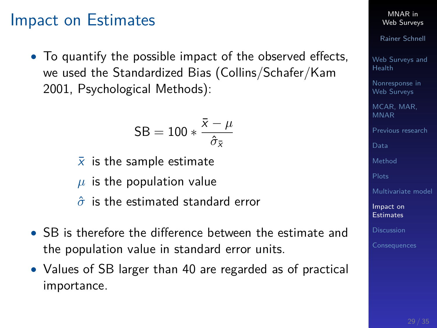### <span id="page-28-0"></span>Impact on Estimates

• To quantify the possible impact of the observed effects, we used the Standardized Bias (Collins/Schafer/Kam 2001, Psychological Methods):

$$
\text{SB} = 100 * \frac{\bar{x} - \mu}{\hat{\sigma}_{\bar{x}}}
$$

- $\overline{x}$  is the sample estimate
- $\mu$  is the population value
- *σ*ˆ is the estimated standard error
- SB is therefore the difference between the estimate and the population value in standard error units.
- Values of SB larger than 40 are regarded as of practical importance.

MNAR in [Web Surveys](#page-0-0)

Rainer Schnell

[Web Surveys and](#page-2-0) Health

[Nonresponse in](#page-4-0) Web Surveys

[MCAR, MAR,](#page-8-0) MNAR

[Previous research](#page-10-0)

[Data](#page-11-0)

[Method](#page-14-0)

[Multivariate model](#page-24-0)

[Impact on](#page-28-0) Estimates

[Discussion](#page-33-0)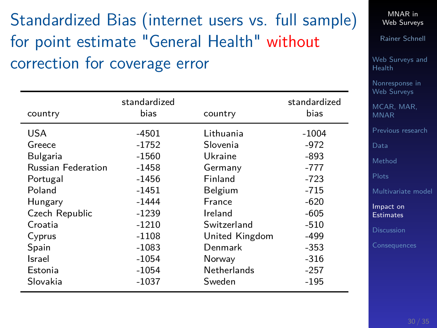# Standardized Bias (internet users vs. full sample) for point estimate "General Health" without correction for coverage error

| country                   | standardized<br>bias | country        | standardized<br>bias |
|---------------------------|----------------------|----------------|----------------------|
| USA                       | -4501                | Lithuania      | $-1004$              |
| Greece                    | -1752                | Slovenia       | $-972$               |
| Bulgaria                  | $-1560$              | Ukraine        | $-893$               |
| <b>Russian Federation</b> | $-1458$              | Germany        | $-777$               |
| Portugal                  | $-1456$              | Finland        | $-723$               |
| Poland                    | $-1451$              | Belgium        | -715                 |
| Hungary                   | -1444                | <b>France</b>  | $-620$               |
| Czech Republic            | $-1239$              | Ireland        | -605                 |
| Croatia                   | $-1210$              | Switzerland    | $-510$               |
| Cyprus                    | $-1108$              | United Kingdom | -499                 |
| Spain                     | $-1083$              | Denmark        | $-353$               |
| Israel                    | -1054                | Norway         | $-316$               |
| Estonia                   | -1054                | Netherlands    | $-257$               |
| Slovakia                  | -1037                | Sweden         | -195                 |

MNAR in [Web Surveys](#page-0-0)

Rainer Schnell

[Web Surveys and](#page-2-0) Health

[Nonresponse in](#page-4-0) Web Surveys

[MCAR, MAR,](#page-8-0) MNAR

[Previous research](#page-10-0)

[Data](#page-11-0)

[Method](#page-14-0)

[Multivariate model](#page-24-0)

[Impact on](#page-28-0) Estimates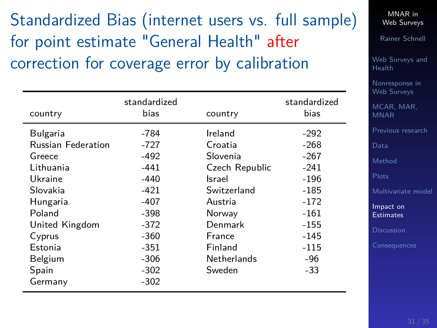Standardized Bias (internet users vs. full sample) for point estimate "General Health" after correction for coverage error by calibration

| country                   | standardized<br>bias | country            | standardized<br>bias |
|---------------------------|----------------------|--------------------|----------------------|
| Bulgaria                  | -784                 | Ireland            | $-292$               |
| <b>Russian Federation</b> | -727                 | Croatia            | $-268$               |
| Greece                    | -492                 | Slovenia           | $-267$               |
| Lithuania                 | -441                 | Czech Republic     | $-241$               |
| Ukraine                   | $-440$               | Israel             | $-196$               |
| Slovakia                  | $-421$               | Switzerland        | $-185$               |
| Hungaria                  | $-407$               | Austria            | $-172$               |
| Poland                    | $-398$               | Norway             | $-161$               |
| United Kingdom            | $-372$               | Denmark            | -155                 |
| Cyprus                    | $-360$               | France             | -145                 |
| Estonia                   | $-351$               | Finland            | $-115$               |
| Belgium                   | $-306$               | <b>Netherlands</b> | $-96$                |
| Spain                     | $-302$               | Sweden             | $-33$                |
| Germany                   | $-302$               |                    |                      |

MNAR in [Web Surveys](#page-0-0)

Rainer Schnell

[Web Surveys and](#page-2-0) Health

[Nonresponse in](#page-4-0) Web Surveys

[MCAR, MAR,](#page-8-0) MNAR

[Previous research](#page-10-0)

[Data](#page-11-0)

[Method](#page-14-0)

[Multivariate model](#page-24-0)

[Impact on](#page-28-0) Estimates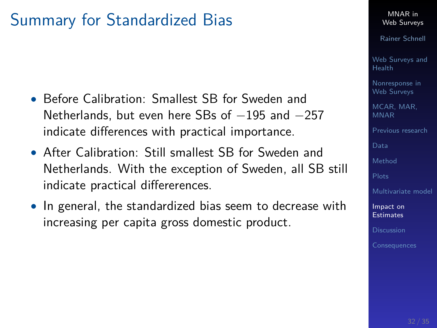# Summary for Standardized Bias

- Before Calibration: Smallest SB for Sweden and Netherlands, but even here SBs of -195 and -257 indicate differences with practical importance.
- After Calibration: Still smallest SB for Sweden and Netherlands. With the exception of Sweden, all SB still indicate practical differerences.
- In general, the standardized bias seem to decrease with increasing per capita gross domestic product.

#### MNAR in [Web Surveys](#page-0-0)

Rainer Schnell

[Web Surveys and](#page-2-0) Health

[Nonresponse in](#page-4-0) Web Surveys

MCAR, MAR MNAR

[Previous research](#page-10-0)

[Method](#page-14-0)

[Multivariate model](#page-24-0)

[Impact on](#page-28-0) Estimates

**[Discussion](#page-33-0)**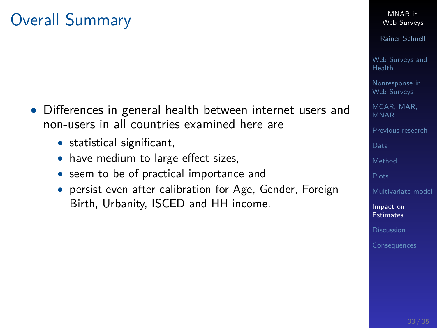# Overall Summary

- Differences in general health between internet users and non-users in all countries examined here are
	- statistical significant,
	- have medium to large effect sizes,
	- seem to be of practical importance and
	- persist even after calibration for Age, Gender, Foreign Birth, Urbanity, ISCED and HH income.

Rainer Schnell

[Web Surveys and](#page-2-0) Health

[Nonresponse in](#page-4-0) Web Surveys

[MCAR, MAR,](#page-8-0) MNAR

[Previous research](#page-10-0)

[Data](#page-11-0)

[Method](#page-14-0)

[Multivariate model](#page-24-0)

[Impact on](#page-28-0) Estimates

**[Discussion](#page-33-0)**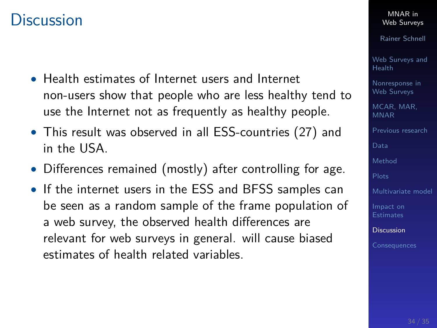### <span id="page-33-0"></span>**Discussion**

- Health estimates of Internet users and Internet non-users show that people who are less healthy tend to use the Internet not as frequently as healthy people.
- This result was observed in all ESS-countries (27) and in the USA.
- Differences remained (mostly) after controlling for age.
- If the internet users in the ESS and BFSS samples can be seen as a random sample of the frame population of a web survey, the observed health differences are relevant for web surveys in general. will cause biased estimates of health related variables.

MNAR in [Web Surveys](#page-0-0)

Rainer Schnell

[Web Surveys and](#page-2-0) Health

[Nonresponse in](#page-4-0) Web Surveys

[MCAR, MAR,](#page-8-0) MNAR

[Previous research](#page-10-0)

[Data](#page-11-0)

[Method](#page-14-0)

[Multivariate model](#page-24-0)

[Impact on](#page-28-0)

[Discussion](#page-33-0)